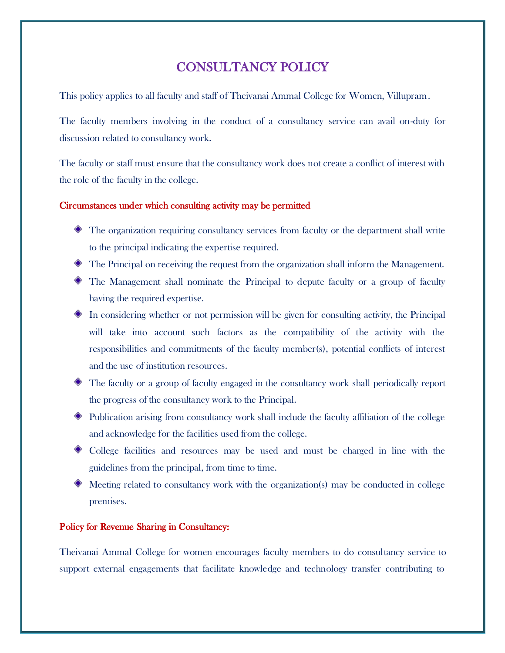## CONSULTANCY POLICY

This policy applies to all faculty and staff of Theivanai Ammal College for Women, Villupram.

The faculty members involving in the conduct of a consultancy service can avail on-duty for discussion related to consultancy work.

The faculty or staff must ensure that the consultancy work does not create a conflict of interest with the role of the faculty in the college.

## Circumstances under which consulting activity may be permitted

- The organization requiring consultancy services from faculty or the department shall write to the principal indicating the expertise required.
- The Principal on receiving the request from the organization shall inform the Management.
- The Management shall nominate the Principal to depute faculty or a group of faculty having the required expertise.
- $\bullet$  In considering whether or not permission will be given for consulting activity, the Principal will take into account such factors as the compatibility of the activity with the responsibilities and commitments of the faculty member(s), potential conflicts of interest and the use of institution resources.
- The faculty or a group of faculty engaged in the consultancy work shall periodically report the progress of the consultancy work to the Principal.
- Publication arising from consultancy work shall include the faculty affiliation of the college and acknowledge for the facilities used from the college.
- College facilities and resources may be used and must be charged in line with the guidelines from the principal, from time to time.
- Meeting related to consultancy work with the organization(s) may be conducted in college premises.

## Policy for Revenue Sharing in Consultancy:

Theivanai Ammal College for women encourages faculty members to do consultancy service to support external engagements that facilitate knowledge and technology transfer contributing to